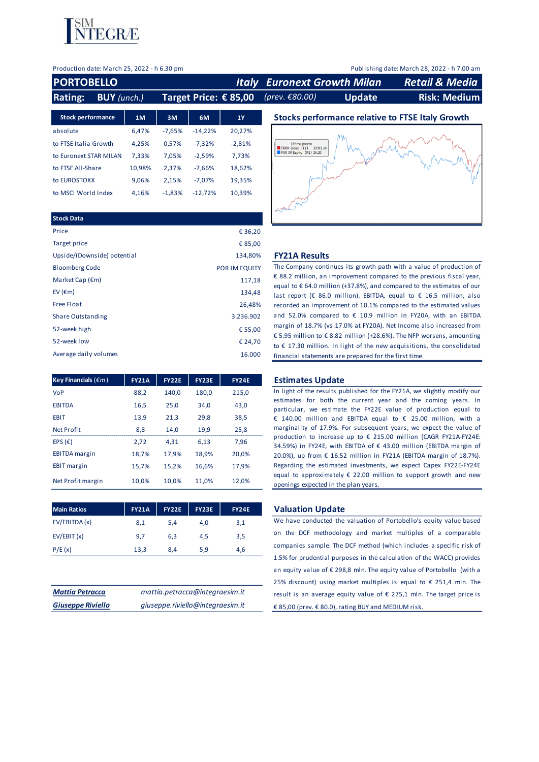

Production date: March 25, 2022 - h 6.30 pm Publishing date: March 28, 2022 - h 7.00 am

| <b>PORTOBELLO</b>                    |        |          |           |                         | <b>Italy Euronext Growth Milan</b>            |               | <b>Retail &amp; Media</b>                               |
|--------------------------------------|--------|----------|-----------|-------------------------|-----------------------------------------------|---------------|---------------------------------------------------------|
| <b>Rating:</b><br><b>BUY</b> (unch.) |        |          |           | Target Price: $€ 85,00$ | (prev. €80.00)                                | <b>Update</b> | <b>Risk: Medium</b>                                     |
| <b>Stock performance</b>             | 1M     | 3M       | 6M        | <b>1Y</b>               |                                               |               | <b>Stocks performance relative to FTSE Italy Growth</b> |
| absolute                             | 6.47%  | $-7,65%$ | $-14,22%$ | 20,27%                  |                                               |               |                                                         |
| to FTSE Italia Growth                | 4.25%  | 0,57%    | $-7.32%$  | $-2,81%$                | Ultimo prezzo<br>ITAIM Index (L1)<br>10391.14 |               |                                                         |
| to Euronext STAR MILAN               | 7.33%  | 7.05%    | $-2,59%$  | 7,73%                   | $\blacksquare$ POR IM Equity (R1) 36.20       |               |                                                         |
| to FTSE All-Share                    | 10,98% | 2,37%    | $-7.66%$  | 18,62%                  |                                               |               |                                                         |
| to EUROSTOXX                         | 9.06%  | 2.15%    | $-7.07%$  | 19,35%                  |                                               |               |                                                         |
| to MSCI World Index                  | 4.16%  | $-1.83%$ | $-12.72%$ | 10.39%                  |                                               |               |                                                         |

| <b>Stock Data</b>           |               |
|-----------------------------|---------------|
| Price                       | € 36,20       |
| Target price                | € 85,00       |
| Upside/(Downside) potential | 134,80%       |
| <b>Bloomberg Code</b>       | POR IM EQUITY |
| Market Cap $(\epsilon m)$   | 117,18        |
| EV ( $\epsilon$ m)          | 134,48        |
| <b>Free Float</b>           | 26,48%        |
| <b>Share Outstanding</b>    | 3.236.902     |
| 52-week high                | € 55,00       |
| 52-week low                 | € 24,70       |
| Average daily volumes       | 16.000        |

| Key Financials ( $\epsilon$ m) | <b>FY21A</b> | <b>FY22E</b> | <b>FY23E</b> | <b>FY24E</b> |
|--------------------------------|--------------|--------------|--------------|--------------|
| VoP                            | 88,2         | 140,0        | 180,0        | 215,0        |
| <b>EBITDA</b>                  | 16,5         | 25,0         | 34.0         | 43,0         |
| <b>EBIT</b>                    | 13,9         | 21.3         | 29,8         | 38,5         |
| <b>Net Profit</b>              | 8,8          | 14.0         | 19,9         | 25,8         |
| EPS $(E)$                      | 2,72         | 4.31         | 6.13         | 7.96         |
| <b>EBITDA</b> margin           | 18,7%        | 17,9%        | 18,9%        | 20.0%        |
| <b>EBIT</b> margin             | 15,7%        | 15,2%        | 16,6%        | 17.9%        |
| Net Profit margin              | 10.0%        | 10.0%        | 11.0%        | 12.0%        |

| <b>Main Ratios</b> | <b>FY21A</b> | <b>FY22E</b> | <b>FY23E</b> | <b>FY24E</b> |
|--------------------|--------------|--------------|--------------|--------------|
| EV/EBITDA (x)      | 8,1          | 5.4          | 4.0          | 3,1          |
| EV/EBIT(x)         | 9,7          | 6.3          | 4.5          | 3,5          |
| P/E(x)             | 13,3         | 8,4          | 5,9          | 4,6          |

| <b>Mattia Petracca</b>   | mattia.petracca@integraesim.it   |
|--------------------------|----------------------------------|
| <b>Giuseppe Riviello</b> | giuseppe.riviello@integraesim.it |

#### **FY21A Results**

The Company continues its growth path with a value of production of € 88.2 million, an improvement compared to the previous fiscal year, equal to € 64.0 million (+37.8%), and compared to the estimates of our last report (€ 86.0 million). EBITDA, equal to € 16.5 million, also recorded an improvement of 10.1% compared to the estimated values and 52.0% compared to  $\epsilon$  10.9 million in FY20A, with an EBITDA margin of 18.7% (vs 17.0% at FY20A). Net Income also increased from € 5.95 million to € 8.82 million (+28.6%). The NFP worsens, amounting to  $\epsilon$  17.30 million. In light of the new acquisitions, the consolidated financial statements are prepared for the first time.

#### **Estimates Update**

In light of the results published for the FY21A, we slightly modify our estimates for both the current year and the coming years. In particular, we estimate the FY22E value of production equal to € 140.00 million and EBITDA equal to € 25.00 million, with <sup>a</sup> marginality of 17.9%. For subsequent years, we expect the value of production to increase up to € 215.00 million (CAGR FY21A-FY24E: 34.59%) in FY24E, with EBITDA of € 43.00 million (EBITDA margin of 20.0%), up from € 16.52 million in FY21A (EBITDA margin of 18.7%). Regarding the estimated investments, we expect Capex FY22E-FY24E equal to approximately  $\epsilon$  22.00 million to support growth and new openings expected in the plan years.

#### **Main Ration Update**

We have conducted the valuation of Portobello's equity value based on the DCF methodology and market multiples of <sup>a</sup> comparable companies sample. The DCF method (which includes <sup>a</sup> specific risk of 1.5% for prudential purposes in the calculation of the WACC) provides an equity value of € 298,8 mln. The equity value of Portobello (with a 25% discount) using market multiples is equal to  $\epsilon$  251.4 mln. The result is an average equity value of  $\epsilon$  275,1 mln. The target price is € 85,00 (prev. € 80.0), rating BUY and MEDIUM risk.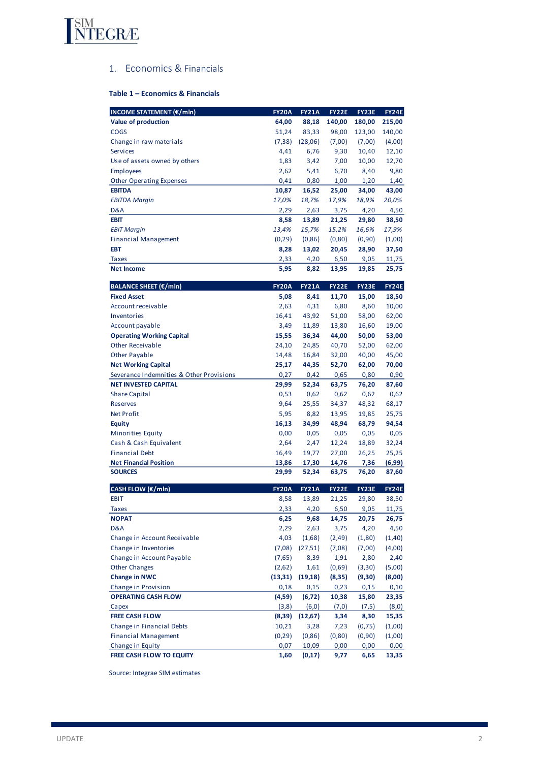

# 1. Economics & Financials

# **Table 1 – Economics & Financials**

| <b>INCOME STATEMENT (€/mln)</b>          | <b>FY20A</b>   | <b>FY21A</b> | FY22E        | <b>FY23E</b>  | <b>FY24E</b>     |
|------------------------------------------|----------------|--------------|--------------|---------------|------------------|
| Value of production<br><b>COGS</b>       | 64,00<br>51,24 | 88,18        | 140,00       | 180,00        | 215,00<br>140,00 |
|                                          |                | 83,33        | 98,00        | 123,00        |                  |
| Change in raw materials                  | (7, 38)        | (28,06)      | (7,00)       | (7,00)        | (4,00)           |
| <b>Services</b>                          | 4,41           | 6,76         | 9,30         | 10,40         | 12,10            |
| Use of assets owned by others            | 1,83           | 3,42         | 7,00         | 10,00         | 12,70            |
| <b>Employees</b>                         | 2,62           | 5,41         | 6,70         | 8,40          | 9,80             |
| <b>Other Operating Expenses</b>          | 0,41           | 0,80         | 1,00         | 1,20          | 1,40             |
| <b>EBITDA</b>                            | 10,87          | 16,52        | 25,00        | 34,00         | 43,00            |
| <b>EBITDA Margin</b>                     | 17,0%          | 18,7%        | 17,9%        | 18,9%         | 20,0%            |
| D&A                                      | 2,29           | 2,63         | 3,75         | 4,20          | 4,50             |
| <b>EBIT</b>                              | 8,58           | 13,89        | 21,25        | 29,80         | 38,50            |
| <b>EBIT Margin</b>                       | 13,4%          | 15,7%        | 15,2%        | 16,6%         | 17,9%            |
| <b>Financial Management</b>              | (0, 29)        | (0, 86)      | (0, 80)      | (0,90)        | (1,00)           |
| EBT                                      | 8,28           | 13,02        | 20,45        | 28,90         | 37,50            |
| <b>Taxes</b>                             | 2,33           | 4,20         | 6,50         | 9,05          | 11,75            |
| <b>Net Income</b>                        | 5,95           | 8,82         | 13,95        | 19,85         | 25,75            |
| <b>BALANCE SHEET (€/mln)</b>             | <b>FY20A</b>   | <b>FY21A</b> | <b>FY22E</b> | FY23E         | <b>FY24E</b>     |
| <b>Fixed Asset</b>                       | 5,08           | 8,41         | 11,70        | 15,00         | 18,50            |
| Account receivable                       | 2,63           | 4,31         | 6,80         | 8,60          | 10,00            |
| Inventories                              | 16,41          | 43,92        | 51,00        | 58,00         | 62,00            |
| Account payable                          | 3,49           | 11,89        | 13,80        | 16,60         | 19,00            |
| <b>Operating Working Capital</b>         | 15,55          | 36,34        | 44,00        | 50,00         | 53,00            |
| <b>Other Receivable</b>                  | 24,10          | 24,85        | 40,70        | 52,00         | 62,00            |
| <b>Other Payable</b>                     | 14,48          | 16,84        | 32,00        | 40,00         | 45,00            |
| <b>Net Working Capital</b>               | 25,17          | 44,35        | 52,70        | 62,00         | 70,00            |
| Severance Indemnities & Other Provisions | 0,27           | 0,42         | 0,65         | 0,80          | 0,90             |
| <b>NET INVESTED CAPITAL</b>              | 29,99          | 52,34        | 63,75        | 76,20         | 87,60            |
| <b>Share Capital</b>                     | 0,53           | 0,62         | 0,62         | 0,62          | 0,62             |
| <b>Reserves</b>                          | 9,64           | 25,55        | 34,37        | 48,32         | 68,17            |
| <b>Net Profit</b>                        | 5,95           | 8,82         | 13,95        | 19,85         | 25,75            |
| <b>Equity</b>                            | 16,13          | 34,99        | 48,94        | 68,79         | 94,54            |
| Minorities Equity                        | 0,00           | 0,05         | 0,05         | 0,05          | 0,05             |
| Cash & Cash Equivalent                   | 2,64           | 2,47         | 12,24        | 18,89         | 32,24            |
| <b>Financial Debt</b>                    | 16,49          | 19,77        | 27,00        | 26,25         | 25,25            |
| <b>Net Financial Position</b>            | 13,86          | 17,30        | 14,76        | 7,36          | (6,99)           |
| <b>SOURCES</b>                           | 29,99          | 52,34        | 63,75        | 76,20         | 87,60            |
| CASH FLOW (€/mln)                        | <b>FY20A</b>   | <b>FY21A</b> | <b>FY22E</b> | FY23E         | <b>FY24E</b>     |
| EBIT                                     | 8,58           | 13,89        | 21,25        | 29,80         | 38,50            |
| <b>Taxes</b>                             | 2,33           | 4,20         | 6,50         | 9,05          | 11,75            |
| <b>NOPAT</b>                             | 6,25           | 9,68         | 14,75        | 20,75         | 26,75            |
| D&A                                      | 2,29           | 2,63         | 3,75         | 4,20          | 4,50             |
| Change in Account Receivable             | 4,03           | (1,68)       | (2, 49)      | (1,80)        | (1, 40)          |
| Change in Inventories                    | (7,08)         | (27, 51)     | (7,08)       | (7,00)        | (4,00)           |
| Change in Account Payable                | (7,65)         | 8,39         | 1,91         | 2,80          | 2,40             |
| <b>Other Changes</b>                     | (2,62)         | 1,61         | (0,69)       | (3,30)        | (5,00)           |
| <b>Change in NWC</b>                     | (13, 31)       | (19, 18)     | (8,35)       | (9,30)        | (8,00)           |
| Change in Provision                      | 0,18           | 0,15         | 0,23         | 0,15          | 0,10             |
| <b>OPERATING CASH FLOW</b>               | (4,59)         | (6, 72)      | 10,38        | 15,80         | 23,35            |
|                                          | (3,8)          | (6, 0)       | (7,0)        |               |                  |
| Capex<br><b>FREE CASH FLOW</b>           | (8, 39)        | (12, 67)     | 3,34         | (7,5)<br>8,30 | (8,0)<br>15,35   |
|                                          |                |              |              |               |                  |
| Change in Financial Debts                | 10,21          | 3,28         | 7,23         | (0, 75)       | (1,00)           |
| <b>Financial Management</b>              | (0, 29)        | (0, 86)      | (0, 80)      | (0,90)        | (1,00)           |
| Change in Equity                         | 0,07           | 10,09        | 0,00         | 0,00          | 0,00             |
| FREE CASH FLOW TO EQUITY                 | 1,60           | (0, 17)      | 9,77         | 6,65          | 13,35            |

Source: Integrae SIM estimates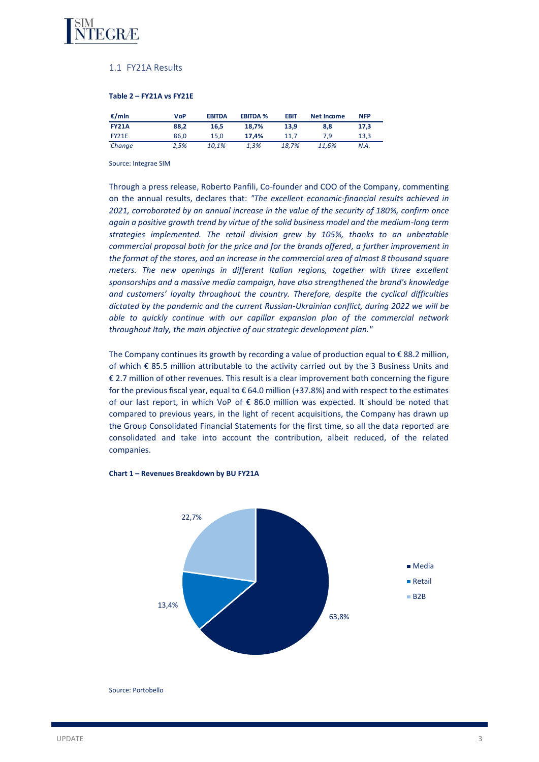

# 1.1 FY21A Results

#### **Table 2 – FY21A vs FY21E**

| €/mln        | <b>VoP</b> | <b>EBITDA</b> | <b>EBITDA %</b> | <b>EBIT</b> | Net Income | <b>NFP</b> |
|--------------|------------|---------------|-----------------|-------------|------------|------------|
| <b>FY21A</b> | 88.2       | 16.5          | 18.7%           | 13.9        | 8.8        | 17.3       |
| FY21E        | 86.0       | 15.0          | 17.4%           | 11.7        | 7.9        | 13.3       |
| Change       | 2.5%       | 10.1%         | 1.3%            | 18.7%       | 11.6%      | N.A.       |

Source: Integrae SIM

Through a press release, Roberto Panfili, Co-founder and COO of the Company, commenting on the annual results, declares that: *"The excellent economic-financial results achieved in 2021, corroborated by an annual increase in the value of the security of 180%, confirm once again a positive growth trend by virtue of the solid business model and the medium-long term strategies implemented. The retail division grew by 105%, thanks to an unbeatable commercial proposal both for the price and for the brands offered, a further improvement in the format of the stores, and an increase in the commercial area of almost 8 thousand square meters. The new openings in different Italian regions, together with three excellent sponsorships and a massive media campaign, have also strengthened the brand's knowledge and customers' loyalty throughout the country. Therefore, despite the cyclical difficulties dictated by the pandemic and the current Russian-Ukrainian conflict, during 2022 we will be able to quickly continue with our capillar expansion plan of the commercial network throughout Italy, the main objective of our strategic development plan."*

The Company continues its growth by recording a value of production equal to €88.2 million, of which € 85.5 million attributable to the activity carried out by the 3 Business Units and € 2.7 million of other revenues. This result is a clear improvement both concerning the figure for the previous fiscal year, equal to  $\epsilon$  64.0 million (+37.8%) and with respect to the estimates of our last report, in which VoP of € 86.0 million was expected. It should be noted that compared to previous years, in the light of recent acquisitions, the Company has drawn up the Group Consolidated Financial Statements for the first time, so all the data reported are consolidated and take into account the contribution, albeit reduced, of the related companies.



#### **Chart 1 – Revenues Breakdown by BU FY21A**

Source: Portobello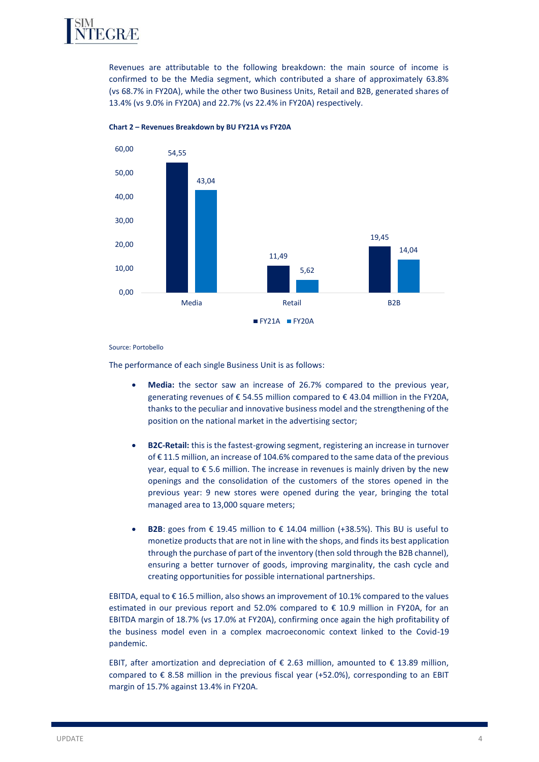

Revenues are attributable to the following breakdown: the main source of income is confirmed to be the Media segment, which contributed a share of approximately 63.8% (vs 68.7% in FY20A), while the other two Business Units, Retail and B2B, generated shares of 13.4% (vs 9.0% in FY20A) and 22.7% (vs 22.4% in FY20A) respectively.



# **Chart 2 – Revenues Breakdown by BU FY21A vs FY20A**

Source: Portobello

The performance of each single Business Unit is as follows:

- **Media:** the sector saw an increase of 26.7% compared to the previous year, generating revenues of € 54.55 million compared to € 43.04 million in the FY20A, thanks to the peculiar and innovative business model and the strengthening of the position on the national market in the advertising sector;
- **B2C-Retail:** this is the fastest-growing segment, registering an increase in turnover of € 11.5 million, an increase of 104.6% compared to the same data of the previous year, equal to € 5.6 million. The increase in revenues is mainly driven by the new openings and the consolidation of the customers of the stores opened in the previous year: 9 new stores were opened during the year, bringing the total managed area to 13,000 square meters;
- **B2B**: goes from € 19.45 million to € 14.04 million (+38.5%). This BU is useful to monetize products that are not in line with the shops, and finds its best application through the purchase of part of the inventory (then sold through the B2B channel), ensuring a better turnover of goods, improving marginality, the cash cycle and creating opportunities for possible international partnerships.

EBITDA, equal to € 16.5 million, also shows an improvement of 10.1% compared to the values estimated in our previous report and 52.0% compared to € 10.9 million in FY20A, for an EBITDA margin of 18.7% (vs 17.0% at FY20A), confirming once again the high profitability of the business model even in a complex macroeconomic context linked to the Covid-19 pandemic.

EBIT, after amortization and depreciation of € 2.63 million, amounted to € 13.89 million, compared to € 8.58 million in the previous fiscal year (+52.0%), corresponding to an EBIT margin of 15.7% against 13.4% in FY20A.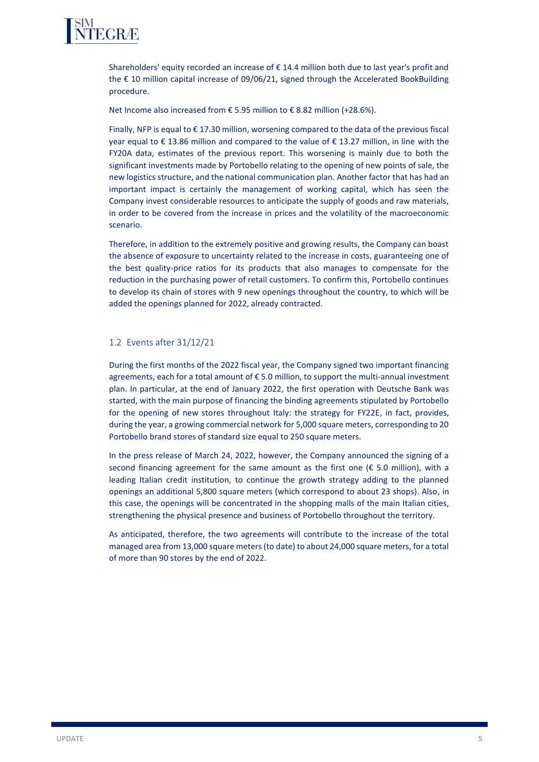

Shareholders' equity recorded an increase of € 14.4 million both due to last year's profit and the € 10 million capital increase of 09/06/21, signed through the Accelerated BookBuilding procedure.

Net Income also increased from € 5.95 million to € 8.82 million (+28.6%).

Finally, NFP is equal to  $\epsilon$  17.30 million, worsening compared to the data of the previous fiscal year equal to € 13.86 million and compared to the value of € 13.27 million, in line with the FY20A data, estimates of the previous report. This worsening is mainly due to both the significant investments made by Portobello relating to the opening of new points of sale, the new logistics structure, and the national communication plan. Another factor that has had an important impact is certainly the management of working capital, which has seen the Company invest considerable resources to anticipate the supply of goods and raw materials, in order to be covered from the increase in prices and the volatility of the macroeconomic scenario.

Therefore, in addition to the extremely positive and growing results, the Company can boast the absence of exposure to uncertainty related to the increase in costs, guaranteeing one of the best quality-price ratios for its products that also manages to compensate for the reduction in the purchasing power of retail customers. To confirm this, Portobello continues to develop its chain of stores with 9 new openings throughout the country, to which will be added the openings planned for 2022, already contracted.

# 1.2 Events after 31/12/21

During the first months of the 2022 fiscal year, the Company signed two important financing agreements, each for a total amount of € 5.0 million, to support the multi-annual investment plan. In particular, at the end of January 2022, the first operation with Deutsche Bank was started, with the main purpose of financing the binding agreements stipulated by Portobello for the opening of new stores throughout Italy: the strategy for FY22E, in fact, provides, during the year, a growing commercial network for 5,000 square meters, corresponding to 20 Portobello brand stores of standard size equal to 250 square meters.

In the press release of March 24, 2022, however, the Company announced the signing of a second financing agreement for the same amount as the first one  $(\epsilon$  5.0 million), with a leading Italian credit institution, to continue the growth strategy adding to the planned openings an additional 5,800 square meters (which correspond to about 23 shops). Also, in this case, the openings will be concentrated in the shopping malls of the main Italian cities, strengthening the physical presence and business of Portobello throughout the territory.

As anticipated, therefore, the two agreements will contribute to the increase of the total managed area from 13,000 square meters (to date) to about 24,000 square meters, for a total of more than 90 stores by the end of 2022.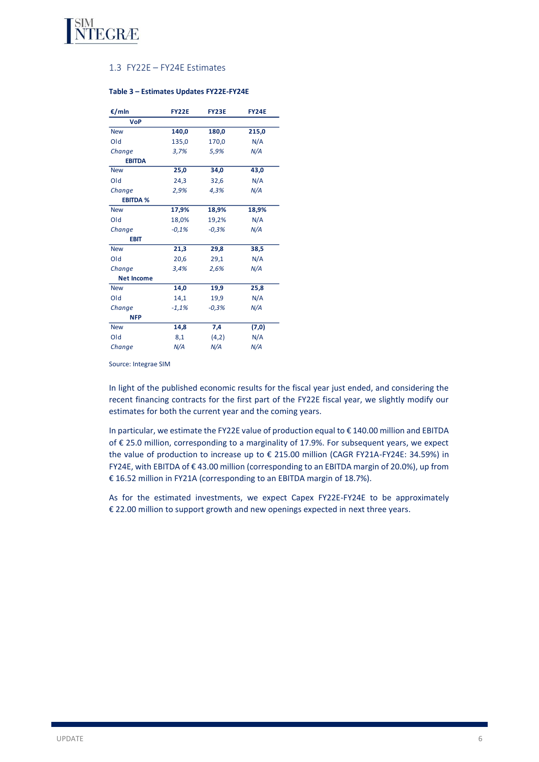

# 1.3 FY22E – FY24E Estimates

| €/mln             | <b>FY22E</b> | FY23E   | <b>FY24E</b> |
|-------------------|--------------|---------|--------------|
| <b>VoP</b>        |              |         |              |
| <b>New</b>        | 140,0        | 180,0   | 215,0        |
| Old               | 135,0        | 170,0   | N/A          |
| Change            | 3,7%         | 5,9%    | N/A          |
| <b>EBITDA</b>     |              |         |              |
| <b>New</b>        | 25,0         | 34,0    | 43,0         |
| Old               | 24,3         | 32,6    | N/A          |
| Change            | 2,9%         | 4,3%    | N/A          |
| <b>EBITDA %</b>   |              |         |              |
| <b>New</b>        | 17,9%        | 18,9%   | 18,9%        |
| Old               | 18,0%        | 19,2%   | N/A          |
| Change            | $-0.1%$      | $-0.3%$ | N/A          |
| <b>EBIT</b>       |              |         |              |
| <b>New</b>        | 21,3         | 29,8    | 38,5         |
| Old               | 20,6         | 29,1    | N/A          |
| Change            | 3,4%         | 2,6%    | N/A          |
| <b>Net Income</b> |              |         |              |
| <b>New</b>        | 14,0         | 19,9    | 25,8         |
| Old               | 14,1         | 19,9    | N/A          |
| Change            | $-1,1%$      | $-0,3%$ | N/A          |
| <b>NFP</b>        |              |         |              |
| <b>New</b>        | 14,8         | 7,4     | (7, 0)       |
| Old               | 8,1          | (4,2)   | N/A          |
| Change            | N/A          | N/A     | N/A          |

#### **Table 3 – Estimates Updates FY22E-FY24E**

Source: Integrae SIM

In light of the published economic results for the fiscal year just ended, and considering the recent financing contracts for the first part of the FY22E fiscal year, we slightly modify our estimates for both the current year and the coming years.

In particular, we estimate the FY22E value of production equal to € 140.00 million and EBITDA of € 25.0 million, corresponding to a marginality of 17.9%. For subsequent years, we expect the value of production to increase up to € 215.00 million (CAGR FY21A-FY24E: 34.59%) in FY24E, with EBITDA of € 43.00 million (corresponding to an EBITDA margin of 20.0%), up from € 16.52 million in FY21A (corresponding to an EBITDA margin of 18.7%).

As for the estimated investments, we expect Capex FY22E-FY24E to be approximately € 22.00 million to support growth and new openings expected in next three years.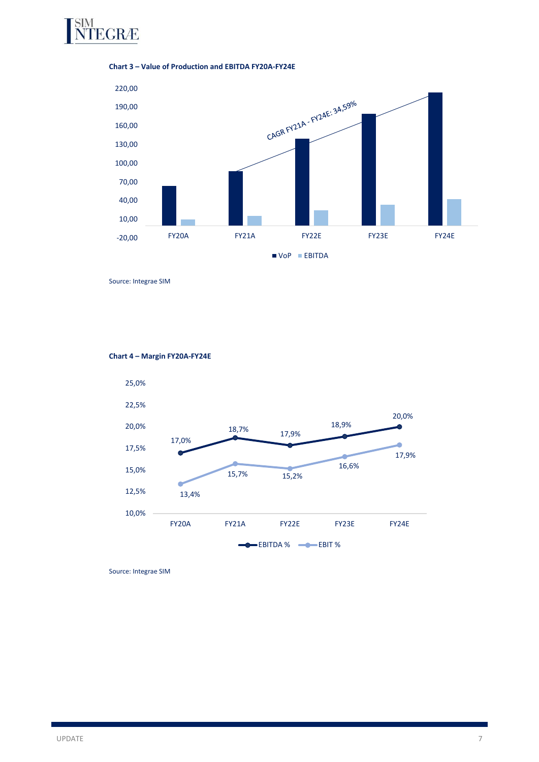

## **Chart 3 – Value of Production and EBITDA FY20A-FY24E**



Source: Integrae SIM



# **Chart 4 – Margin FY20A-FY24E**

Source: Integrae SIM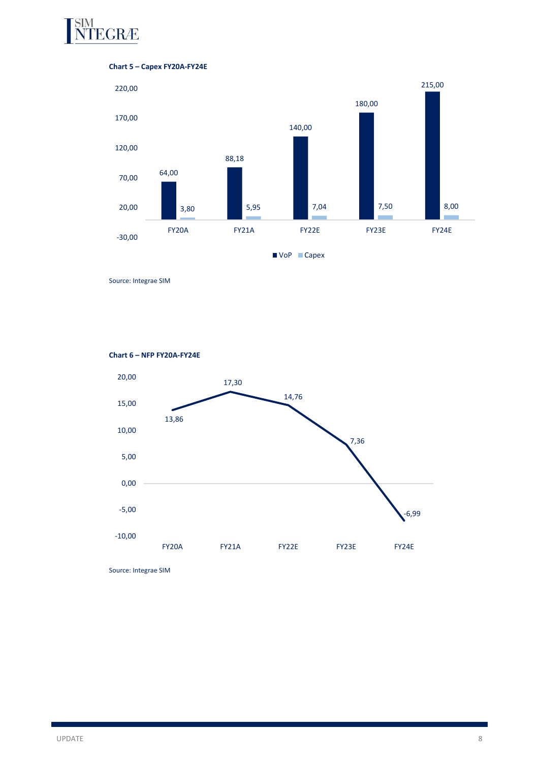





Source: Integrae SIM

**Chart 6 – NFP FY20A-FY24E**



Source: Integrae SIM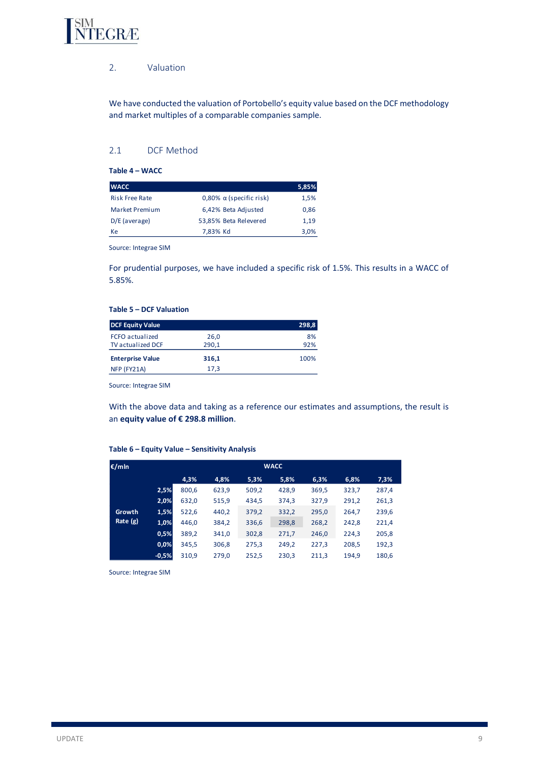

# 2. Valuation

We have conducted the valuation of Portobello's equity value based on the DCF methodology and market multiples of a comparable companies sample.

# 2.1 DCF Method

**Table 4 – WACC**

| <b>WACC</b>           |                                | 5,85% |
|-----------------------|--------------------------------|-------|
| <b>Risk Free Rate</b> | 0,80% $\alpha$ (specific risk) | 1,5%  |
| <b>Market Premium</b> | 6,42% Beta Adjusted            | 0,86  |
| $D/E$ (average)       | 53,85% Beta Relevered          | 1.19  |
| Кe                    | 7,83% Kd                       | 3,0%  |

Source: Integrae SIM

For prudential purposes, we have included a specific risk of 1.5%. This results in a WACC of 5.85%.

## **Table 5 – DCF Valuation**

| <b>DCF Equity Value</b>  |       | 298,8 |
|--------------------------|-------|-------|
| <b>FCFO</b> actualized   | 26.0  | 8%    |
| <b>TV</b> actualized DCF | 290,1 | 92%   |
| <b>Enterprise Value</b>  | 316,1 | 100%  |
| NFP (FY21A)              | 17.3  |       |

Source: Integrae SIM

With the above data and taking as a reference our estimates and assumptions, the result is an **equity value of € 298.8 million**.

#### **Table 6 – Equity Value – Sensitivity Analysis**

| €/mln    |         | <b>WACC</b> |       |       |       |       |       |       |  |
|----------|---------|-------------|-------|-------|-------|-------|-------|-------|--|
|          |         | 4,3%        | 4,8%  | 5,3%  | 5,8%  | 6,3%  | 6,8%  | 7,3%  |  |
|          | 2,5%    | 800,6       | 623,9 | 509,2 | 428.9 | 369,5 | 323,7 | 287,4 |  |
|          | 2,0%    | 632,0       | 515,9 | 434,5 | 374,3 | 327,9 | 291,2 | 261,3 |  |
| Growth   | 1,5%    | 522,6       | 440,2 | 379,2 | 332,2 | 295,0 | 264,7 | 239,6 |  |
| Rate (g) | 1,0%    | 446,0       | 384,2 | 336,6 | 298,8 | 268,2 | 242,8 | 221,4 |  |
|          | 0,5%    | 389,2       | 341,0 | 302,8 | 271,7 | 246,0 | 224,3 | 205,8 |  |
|          | 0,0%    | 345,5       | 306,8 | 275,3 | 249,2 | 227,3 | 208,5 | 192,3 |  |
|          | $-0,5%$ | 310,9       | 279,0 | 252,5 | 230,3 | 211,3 | 194,9 | 180,6 |  |

Source: Integrae SIM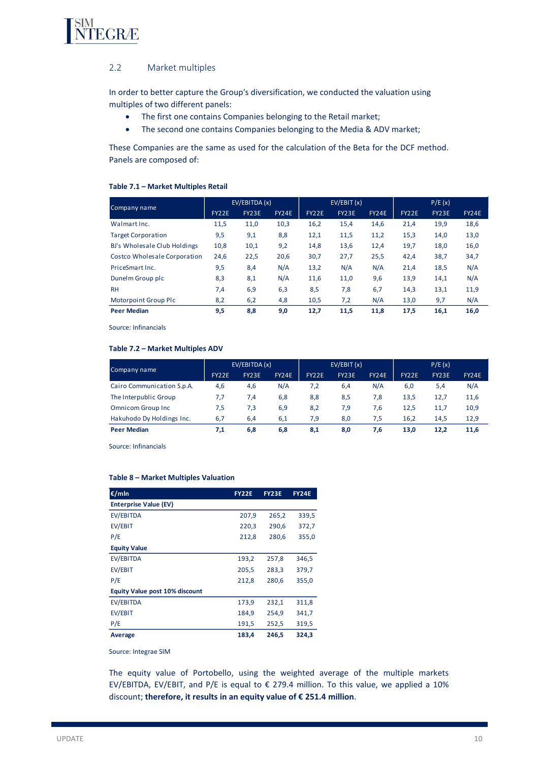

# 2.2 Market multiples

In order to better capture the Group's diversification, we conducted the valuation using multiples of two different panels:

- The first one contains Companies belonging to the Retail market;
- The second one contains Companies belonging to the Media & ADV market;

These Companies are the same as used for the calculation of the Beta for the DCF method. Panels are composed of:

## **Table 7.1 – Market Multiples Retail**

|                                     | EV/EBITDA (x) |       |              | EV/EBIT(x)   |              |       | P/E(x)       |              |       |
|-------------------------------------|---------------|-------|--------------|--------------|--------------|-------|--------------|--------------|-------|
| Company name                        | FY22E         | FY23E | <b>FY24E</b> | <b>FY22E</b> | <b>FY23E</b> | FY24E | <b>FY22E</b> | <b>FY23E</b> | FY24E |
| Walmart Inc.                        | 11,5          | 11,0  | 10,3         | 16,2         | 15,4         | 14,6  | 21,4         | 19,9         | 18,6  |
| <b>Target Corporation</b>           | 9,5           | 9,1   | 8,8          | 12,1         | 11,5         | 11,2  | 15,3         | 14,0         | 13,0  |
| BJ's Wholesale Club Holdings        | 10,8          | 10,1  | 9,2          | 14,8         | 13,6         | 12,4  | 19,7         | 18,0         | 16,0  |
| <b>Costco Wholesale Corporation</b> | 24,6          | 22,5  | 20,6         | 30,7         | 27,7         | 25,5  | 42,4         | 38,7         | 34,7  |
| PriceSmart Inc.                     | 9,5           | 8,4   | N/A          | 13,2         | N/A          | N/A   | 21,4         | 18,5         | N/A   |
| Dunelm Group plc                    | 8,3           | 8,1   | N/A          | 11,6         | 11,0         | 9,6   | 13,9         | 14,1         | N/A   |
| <b>RH</b>                           | 7,4           | 6,9   | 6,3          | 8,5          | 7,8          | 6,7   | 14,3         | 13,1         | 11,9  |
| <b>Motorpoint Group Plc</b>         | 8,2           | 6,2   | 4,8          | 10,5         | 7,2          | N/A   | 13,0         | 9,7          | N/A   |
| <b>Peer Median</b>                  | 9,5           | 8,8   | 9,0          | 12,7         | 11,5         | 11,8  | 17,5         | 16,1         | 16,0  |

Source: Infinancials

#### **Table 7.2 – Market Multiples ADV**

|                            | EV/EBITDA(x) |       | EV/EBIT(x)   |              | P/E(x)       |              |              |       |              |
|----------------------------|--------------|-------|--------------|--------------|--------------|--------------|--------------|-------|--------------|
| Company name               | <b>FY22E</b> | FY23E | <b>FY24E</b> | <b>FY22E</b> | <b>FY23E</b> | <b>FY24E</b> | <b>FY22E</b> | FY23E | <b>FY24E</b> |
| Cairo Communication S.p.A. | 4,6          | 4,6   | N/A          | 7,2          | 6,4          | N/A          | 6,0          | 5,4   | N/A          |
| The Interpublic Group      | 7.7          | 7,4   | 6,8          | 8,8          | 8,5          | 7,8          | 13.5         | 12.7  | 11,6         |
| <b>Omnicom Group Inc</b>   | 7,5          | 7,3   | 6,9          | 8,2          | 7,9          | 7.6          | 12.5         | 11.7  | 10,9         |
| Hakuhodo Dy Holdings Inc.  | 6,7          | 6,4   | 6,1          | 7.9          | 8,0          | 7.5          | 16.2         | 14,5  | 12,9         |
| <b>Peer Median</b>         | 7,1          | 6,8   | 6,8          | 8,1          | 8,0          | 7.6          | 13,0         | 12.2  | 11,6         |

Source: Infinancials

#### **Table 8 – Market Multiples Valuation**

| €/mln                          | <b>FY22E</b> | <b>FY23E</b> | <b>FY24E</b> |
|--------------------------------|--------------|--------------|--------------|
| <b>Enterprise Value (EV)</b>   |              |              |              |
| EV/EBITDA                      | 207,9        | 265,2        | 339,5        |
| EV/EBIT                        | 220,3        | 290,6        | 372,7        |
| P/E                            | 212,8        | 280,6        | 355,0        |
| <b>Equity Value</b>            |              |              |              |
| EV/EBITDA                      | 193,2        | 257,8        | 346,5        |
| EV/EBIT                        | 205,5        | 283,3        | 379,7        |
| P/E                            | 212,8        | 280,6        | 355,0        |
| Equity Value post 10% discount |              |              |              |
| EV/EBITDA                      | 173,9        | 232,1        | 311,8        |
| EV/EBIT                        | 184,9        | 254,9        | 341,7        |
| P/E                            | 191,5        | 252,5        | 319,5        |
| Average                        | 183,4        | 246.5        | 324,3        |

Source: Integrae SIM

The equity value of Portobello, using the weighted average of the multiple markets EV/EBITDA, EV/EBIT, and P/E is equal to  $\epsilon$  279.4 million. To this value, we applied a 10% discount; **therefore, it results in an equity value of € 251.4 million**.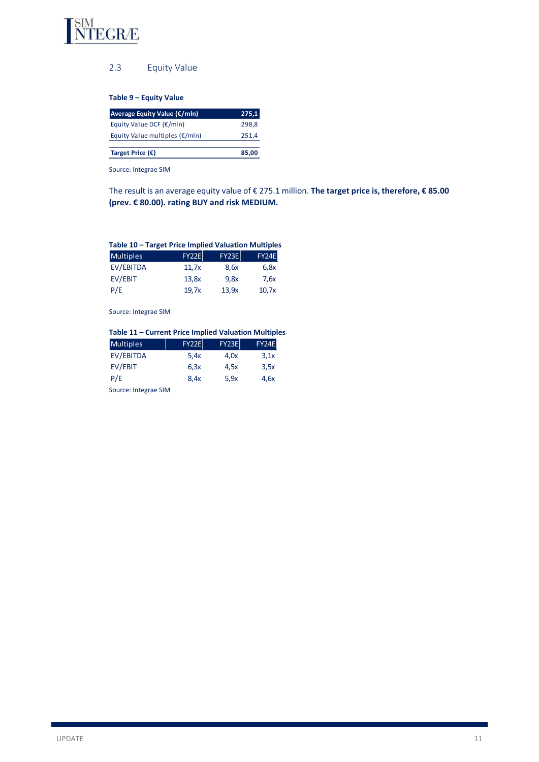

# 2.3 Equity Value

**Table 9 – Equity Value**

| Average Equity Value (€/mln)             | 275,1 |
|------------------------------------------|-------|
| Equity Value DCF $(\epsilon/m\ln)$       | 298.8 |
| Equity Value multiples $(\epsilon/m\ln)$ | 251.4 |
|                                          |       |
| Target Price $(\epsilon)$                | 85,00 |

Source: Integrae SIM

The result is an average equity value of € 275.1 million. **The target price is, therefore, € 85.00 (prev. € 80.00). rating BUY and risk MEDIUM.**

# **Table 10 – Target Price Implied Valuation Multiples** Multiples FY22E FY23E FY24E EV/EBITDA 11,7x 8,6x 6,8x

| EV/EBIT | 13,8x | 9,8x  | 7,6x  |
|---------|-------|-------|-------|
| P/E     | 19,7x | 13,9x | 10,7x |

Source: Integrae SIM

| Table 11 - Current Price Implied Valuation Multiples |              |              |              |
|------------------------------------------------------|--------------|--------------|--------------|
| <b>Multiples</b>                                     | <b>FY22E</b> | <b>FY23E</b> | <b>FY24E</b> |
| EV/EBITDA                                            | 5.4x         | 4.0x         | 3,1x         |
| EV/EBIT                                              | 6, 3x        | 4,5x         | 3,5x         |
| P/E                                                  | 8,4x         | 5.9x         | 4.6x         |
| Source: Integrae SIM                                 |              |              |              |

UPDATE And the contract of the contract of the contract of the contract of the contract of the contract of the contract of the contract of the contract of the contract of the contract of the contract of the contract of the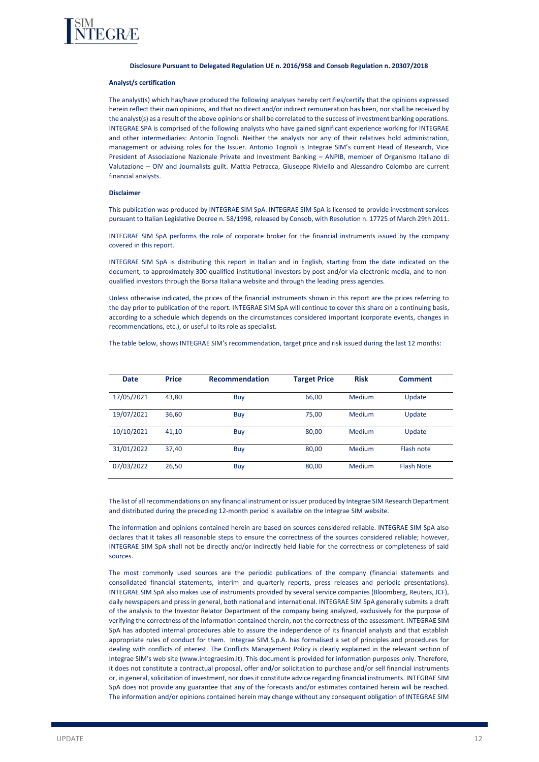

#### **Disclosure Pursuant to Delegated Regulation UE n. 2016/958 and Consob Regulation n. 20307/2018**

#### **Analyst/s certification**

The analyst(s) which has/have produced the following analyses hereby certifies/certify that the opinions expressed herein reflect their own opinions, and that no direct and/or indirect remuneration has been, nor shall be received by the analyst(s) as a result of the above opinions or shall be correlated to the success of investment banking operations. INTEGRAE SPA is comprised of the following analysts who have gained significant experience working for INTEGRAE and other intermediaries: Antonio Tognoli. Neither the analysts nor any of their relatives hold administration, management or advising roles for the Issuer. Antonio Tognoli is Integrae SIM's current Head of Research, Vice President of Associazione Nazionale Private and Investment Banking – ANPIB, member of Organismo Italiano di Valutazione – OIV and Journalists guilt. Mattia Petracca, Giuseppe Riviello and Alessandro Colombo are current financial analysts.

#### **Disclaimer**

This publication was produced by INTEGRAE SIM SpA. INTEGRAE SIM SpA is licensed to provide investment services pursuant to Italian Legislative Decree n. 58/1998, released by Consob, with Resolution n. 17725 of March 29th 2011.

INTEGRAE SIM SpA performs the role of corporate broker for the financial instruments issued by the company covered in this report.

INTEGRAE SIM SpA is distributing this report in Italian and in English, starting from the date indicated on the document, to approximately 300 qualified institutional investors by post and/or via electronic media, and to nonqualified investors through the Borsa Italiana website and through the leading press agencies.

Unless otherwise indicated, the prices of the financial instruments shown in this report are the prices referring to the day prior to publication of the report. INTEGRAE SIM SpA will continue to cover this share on a continuing basis, according to a schedule which depends on the circumstances considered important (corporate events, changes in recommendations, etc.), or useful to its role as specialist.

The table below, shows INTEGRAE SIM's recommendation, target price and risk issued during the last 12 months:

| <b>Date</b> | <b>Price</b> | <b>Recommendation</b> | <b>Target Price</b> | <b>Risk</b> | <b>Comment</b>    |
|-------------|--------------|-----------------------|---------------------|-------------|-------------------|
| 17/05/2021  | 43,80        | Buy                   | 66,00               | Medium      | Update            |
| 19/07/2021  | 36,60        | Buy                   | 75,00               | Medium      | Update            |
| 10/10/2021  | 41,10        | Buy                   | 80,00               | Medium      | Update            |
| 31/01/2022  | 37,40        | Buy                   | 80,00               | Medium      | Flash note        |
| 07/03/2022  | 26,50        | Buy                   | 80,00               | Medium      | <b>Flash Note</b> |

The list of all recommendations on any financial instrument or issuer produced by Integrae SIM Research Department and distributed during the preceding 12-month period is available on the Integrae SIM website.

The information and opinions contained herein are based on sources considered reliable. INTEGRAE SIM SpA also declares that it takes all reasonable steps to ensure the correctness of the sources considered reliable; however, INTEGRAE SIM SpA shall not be directly and/or indirectly held liable for the correctness or completeness of said sources.

The most commonly used sources are the periodic publications of the company (financial statements and consolidated financial statements, interim and quarterly reports, press releases and periodic presentations). INTEGRAE SIM SpA also makes use of instruments provided by several service companies (Bloomberg, Reuters, JCF), daily newspapers and press in general, both national and international. INTEGRAE SIM SpA generally submits a draft of the analysis to the Investor Relator Department of the company being analyzed, exclusively for the purpose of verifying the correctness of the information contained therein, not the correctness of the assessment. INTEGRAE SIM SpA has adopted internal procedures able to assure the independence of its financial analysts and that establish appropriate rules of conduct for them. Integrae SIM S.p.A. has formalised a set of principles and procedures for dealing with conflicts of interest. The Conflicts Management Policy is clearly explained in the relevant section of Integrae SIM's web site (www.integraesim.it). This document is provided for information purposes only. Therefore, it does not constitute a contractual proposal, offer and/or solicitation to purchase and/or sell financial instruments or, in general, solicitation of investment, nor does it constitute advice regarding financial instruments. INTEGRAE SIM SpA does not provide any guarantee that any of the forecasts and/or estimates contained herein will be reached. The information and/or opinions contained herein may change without any consequent obligation of INTEGRAE SIM